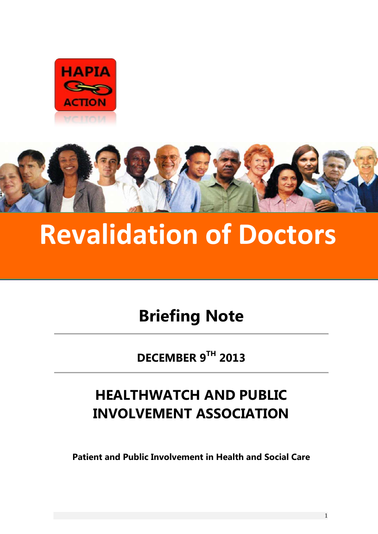



# **Revalidation of Doctors**

# **Briefing Note**

**DECEMBER 9 TH 2013**

# **HEALTHWATCH AND PUBLIC INVOLVEMENT ASSOCIATION**

**Patient and Public Involvement in Health and Social Care**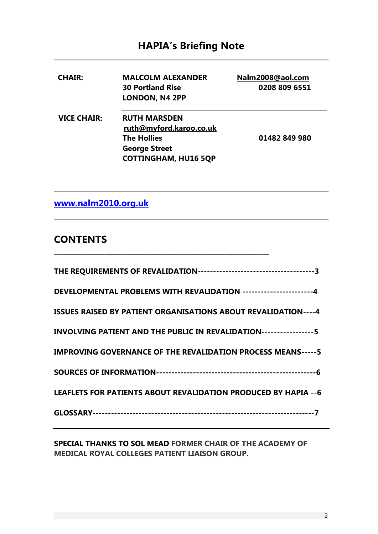## **HAPIA's Briefing Note**

| <b>CHAIR:</b>      | <b>MALCOLM ALEXANDER</b><br><b>30 Portland Rise</b><br>LONDON, N4 2PP                                                       | Nalm2008@aol.com<br>0208 809 6551 |
|--------------------|-----------------------------------------------------------------------------------------------------------------------------|-----------------------------------|
| <b>VICE CHAIR:</b> | <b>RUTH MARSDEN</b><br>ruth@myford.karoo.co.uk<br><b>The Hollies</b><br><b>George Street</b><br><b>COTTINGHAM, HU16 5QP</b> | 01482 849 980                     |

**[www.nalm2010.org.uk](http://www.nalm2010.org.uk/)**

### **CONTENTS**

| DEVELOPMENTAL PROBLEMS WITH REVALIDATION ---------------------4       |
|-----------------------------------------------------------------------|
| <b>ISSUES RAISED BY PATIENT ORGANISATIONS ABOUT REVALIDATION----4</b> |
| INVOLVING PATIENT AND THE PUBLIC IN REVALIDATION-----------------5    |
| <b>IMPROVING GOVERNANCE OF THE REVALIDATION PROCESS MEANS----- 5</b>  |
|                                                                       |
| LEAFLETS FOR PATIENTS ABOUT REVALIDATION PRODUCED BY HAPIA -- 6       |
|                                                                       |
|                                                                       |

\_\_\_\_\_\_\_\_\_\_\_\_\_\_\_\_\_\_\_\_\_\_\_\_\_\_\_\_\_\_\_\_\_\_\_\_\_\_\_\_\_\_\_\_\_\_\_\_\_\_\_\_\_\_\_\_\_\_\_\_\_\_\_\_\_\_\_\_

**SPECIAL THANKS TO SOL MEAD FORMER CHAIR OF THE ACADEMY OF MEDICAL ROYAL COLLEGES PATIENT LIAISON GROUP.**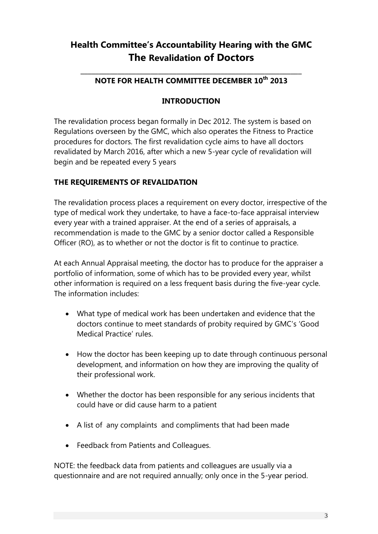## **Health Committee's Accountability Hearing with the GMC The Revalidation of Doctors**

#### \_\_\_\_\_\_\_\_\_\_\_\_\_\_\_\_\_\_\_\_\_\_\_\_\_\_\_\_\_\_\_\_\_\_\_\_\_\_\_\_\_\_\_\_\_\_\_\_\_\_\_\_\_\_\_\_\_\_\_\_ **NOTE FOR HEALTH COMMITTEE DECEMBER 10th 2013**

#### **INTRODUCTION**

The revalidation process began formally in Dec 2012. The system is based on Regulations overseen by the GMC, which also operates the Fitness to Practice procedures for doctors. The first revalidation cycle aims to have all doctors revalidated by March 2016, after which a new 5-year cycle of revalidation will begin and be repeated every 5 years

#### **THE REQUIREMENTS OF REVALIDATION**

The revalidation process places a requirement on every doctor, irrespective of the type of medical work they undertake, to have a face-to-face appraisal interview every year with a trained appraiser. At the end of a series of appraisals, a recommendation is made to the GMC by a senior doctor called a Responsible Officer (RO), as to whether or not the doctor is fit to continue to practice.

At each Annual Appraisal meeting, the doctor has to produce for the appraiser a portfolio of information, some of which has to be provided every year, whilst other information is required on a less frequent basis during the five-year cycle. The information includes:

- What type of medical work has been undertaken and evidence that the doctors continue to meet standards of probity required by GMC's 'Good Medical Practice' rules.
- How the doctor has been keeping up to date through continuous personal development, and information on how they are improving the quality of their professional work.
- Whether the doctor has been responsible for any serious incidents that could have or did cause harm to a patient
- A list of any complaints and compliments that had been made
- Feedback from Patients and Colleagues.

NOTE: the feedback data from patients and colleagues are usually via a questionnaire and are not required annually; only once in the 5-year period.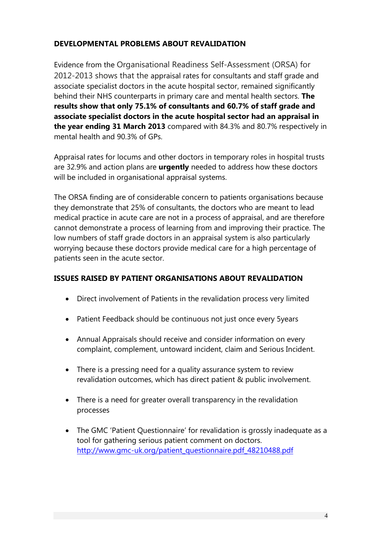#### **DEVELOPMENTAL PROBLEMS ABOUT REVALIDATION**

Evidence from the Organisational Readiness Self-Assessment (ORSA) for 2012-2013 shows that the appraisal rates for consultants and staff grade and associate specialist doctors in the acute hospital sector, remained significantly behind their NHS counterparts in primary care and mental health sectors. **The results show that only 75.1% of consultants and 60.7% of staff grade and associate specialist doctors in the acute hospital sector had an appraisal in the year ending 31 March 2013** compared with 84.3% and 80.7% respectively in mental health and 90.3% of GPs.

Appraisal rates for locums and other doctors in temporary roles in hospital trusts are 32.9% and action plans are **urgently** needed to address how these doctors will be included in organisational appraisal systems.

The ORSA finding are of considerable concern to patients organisations because they demonstrate that 25% of consultants, the doctors who are meant to lead medical practice in acute care are not in a process of appraisal, and are therefore cannot demonstrate a process of learning from and improving their practice. The low numbers of staff grade doctors in an appraisal system is also particularly worrying because these doctors provide medical care for a high percentage of patients seen in the acute sector.

#### **ISSUES RAISED BY PATIENT ORGANISATIONS ABOUT REVALIDATION**

- Direct involvement of Patients in the revalidation process very limited
- Patient Feedback should be continuous not just once every 5years
- Annual Appraisals should receive and consider information on every complaint, complement, untoward incident, claim and Serious Incident.
- There is a pressing need for a quality assurance system to review revalidation outcomes, which has direct patient & public involvement.
- There is a need for greater overall transparency in the revalidation processes
- The GMC 'Patient Questionnaire' for revalidation is grossly inadequate as a tool for gathering serious patient comment on doctors. [http://www.gmc-uk.org/patient\\_questionnaire.pdf\\_48210488.pdf](http://www.gmc-uk.org/patient_questionnaire.pdf_48210488.pdf)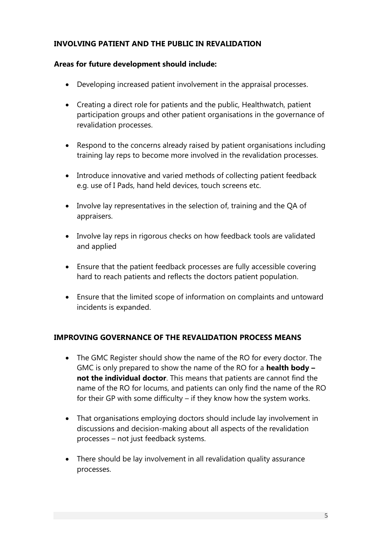#### **INVOLVING PATIENT AND THE PUBLIC IN REVALIDATION**

#### **Areas for future development should include:**

- Developing increased patient involvement in the appraisal processes.
- Creating a direct role for patients and the public, Healthwatch, patient participation groups and other patient organisations in the governance of revalidation processes.
- Respond to the concerns already raised by patient organisations including training lay reps to become more involved in the revalidation processes.
- Introduce innovative and varied methods of collecting patient feedback e.g. use of I Pads, hand held devices, touch screens etc.
- Involve lay representatives in the selection of, training and the QA of appraisers.
- Involve lay reps in rigorous checks on how feedback tools are validated and applied
- Ensure that the patient feedback processes are fully accessible covering hard to reach patients and reflects the doctors patient population.
- Ensure that the limited scope of information on complaints and untoward incidents is expanded.

#### **IMPROVING GOVERNANCE OF THE REVALIDATION PROCESS MEANS**

- The GMC Register should show the name of the RO for every doctor. The GMC is only prepared to show the name of the RO for a **health body – not the individual doctor**. This means that patients are cannot find the name of the RO for locums, and patients can only find the name of the RO for their GP with some difficulty – if they know how the system works.
- That organisations employing doctors should include lay involvement in discussions and decision-making about all aspects of the revalidation processes – not just feedback systems.
- There should be lay involvement in all revalidation quality assurance processes.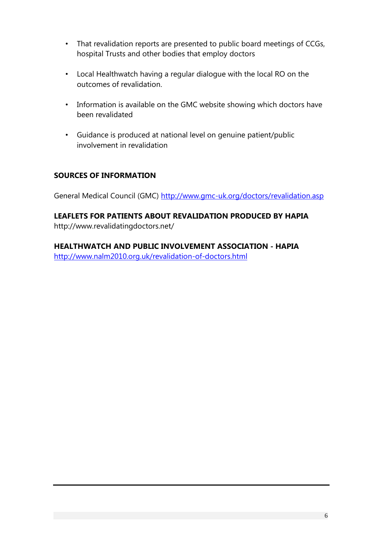- That revalidation reports are presented to public board meetings of CCGs, hospital Trusts and other bodies that employ doctors
- Local Healthwatch having a regular dialogue with the local RO on the outcomes of revalidation.
- Information is available on the GMC website showing which doctors have been revalidated
- Guidance is produced at national level on genuine patient/public involvement in revalidation

#### **SOURCES OF INFORMATION**

General Medical Council (GMC)<http://www.gmc-uk.org/doctors/revalidation.asp>

#### **LEAFLETS FOR PATIENTS ABOUT REVALIDATION PRODUCED BY HAPIA** http://www.revalidatingdoctors.net/

**HEALTHWATCH AND PUBLIC INVOLVEMENT ASSOCIATION - HAPIA** <http://www.nalm2010.org.uk/revalidation-of-doctors.html>